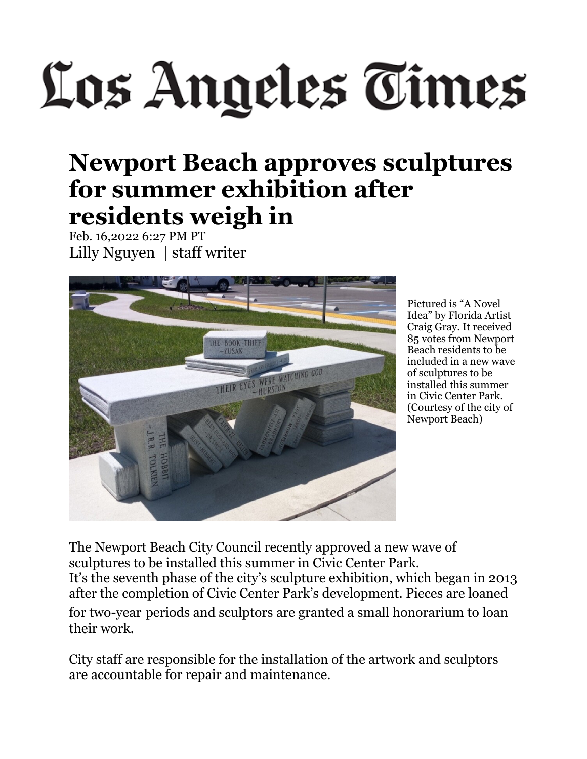## Los Angeles Times

## **Newport Beach approves sculptures for summer exhibition after residents weigh in**

Feb. 16,2022 6:27 PM PT Lilly Nguyen | staff writer



Pictured is "A Novel Idea" by Florida Artist Craig Gray. It received 85 votes from Newport Beach residents to be included in a new wave of sculptures to be installed this summer in Civic Center Park. (Courtesy of the city of Newport Beach)

The Newport Beach City Council recently approved a new wave of sculptures to be installed this summer in Civic Center Park. It's the seventh phase of the city's sculpture exhibition, which began in 2013 after the completion of Civic Center Park's development. Pieces are loaned for two-year periods and sculptors are granted a small honorarium to loan their work.

City staff are responsible for the installation of the artwork and sculptors are accountable for repair and maintenance.